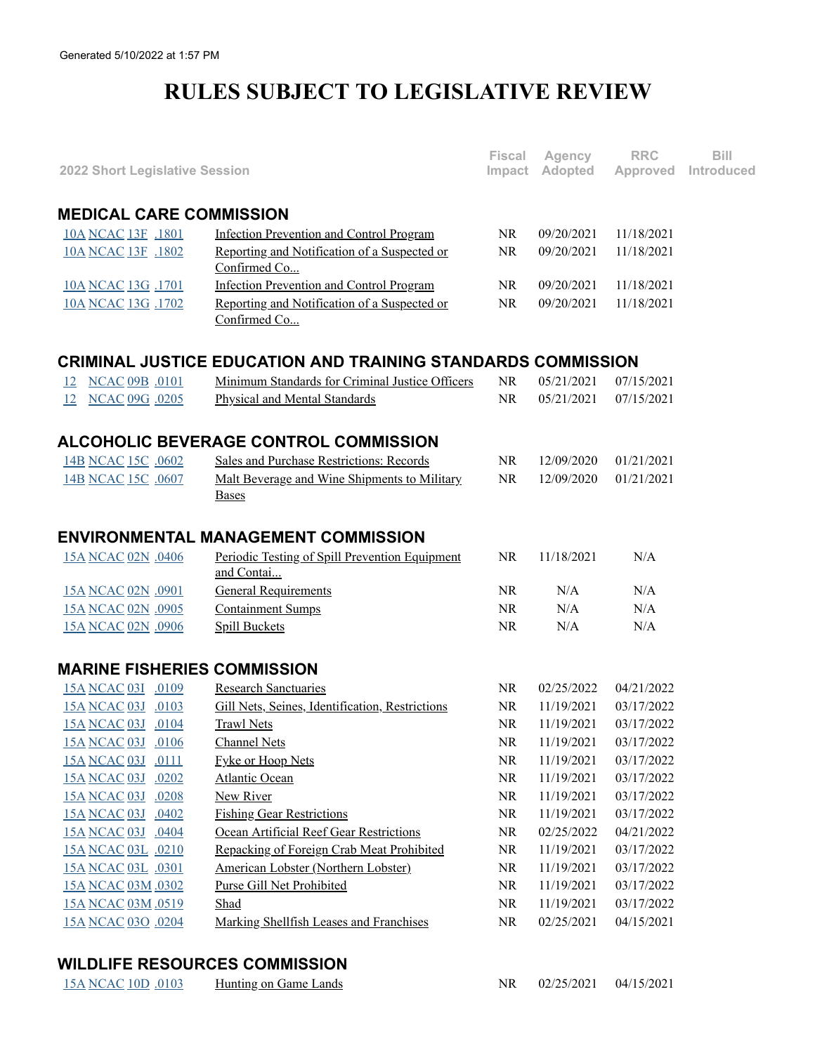## **RULES SUBJECT TO LEGISLATIVE REVIEW**

| 2022 Short Legislative Session     |                                                              | <b>Fiscal</b><br>Impact | Agency<br>Adopted | <b>RRC</b><br>Approved | Bill<br>Introduced |
|------------------------------------|--------------------------------------------------------------|-------------------------|-------------------|------------------------|--------------------|
|                                    |                                                              |                         |                   |                        |                    |
| <b>MEDICAL CARE COMMISSION</b>     |                                                              |                         |                   |                        |                    |
| 10A NCAC 13F .1801                 | <b>Infection Prevention and Control Program</b>              | <b>NR</b>               | 09/20/2021        | 11/18/2021             |                    |
| 10A NCAC 13F .1802                 | Reporting and Notification of a Suspected or<br>Confirmed Co | <b>NR</b>               | 09/20/2021        | 11/18/2021             |                    |
| 10A NCAC 13G .1701                 | <b>Infection Prevention and Control Program</b>              | NR.                     | 09/20/2021        | 11/18/2021             |                    |
| 10A NCAC 13G .1702                 | Reporting and Notification of a Suspected or<br>Confirmed Co | <b>NR</b>               | 09/20/2021        | 11/18/2021             |                    |
|                                    | CRIMINAL JUSTICE EDUCATION AND TRAINING STANDARDS COMMISSION |                         |                   |                        |                    |
| <b>NCAC 09B .0101</b><br>12        | Minimum Standards for Criminal Justice Officers              | <b>NR</b>               | 05/21/2021        | 07/15/2021             |                    |
| 12 NCAC 09G .0205                  | <b>Physical and Mental Standards</b>                         | <b>NR</b>               | 05/21/2021        | 07/15/2021             |                    |
|                                    | <b>ALCOHOLIC BEVERAGE CONTROL COMMISSION</b>                 |                         |                   |                        |                    |
| 14B NCAC 15C .0602                 | Sales and Purchase Restrictions: Records                     | <b>NR</b>               | 12/09/2020        | 01/21/2021             |                    |
| 14B NCAC 15C .0607                 | Malt Beverage and Wine Shipments to Military<br><b>Bases</b> | <b>NR</b>               | 12/09/2020        | 01/21/2021             |                    |
|                                    | <b>ENVIRONMENTAL MANAGEMENT COMMISSION</b>                   |                         |                   |                        |                    |
| 15A NCAC 02N .0406                 | Periodic Testing of Spill Prevention Equipment<br>and Contai | <b>NR</b>               | 11/18/2021        | N/A                    |                    |
| 15A NCAC 02N .0901                 | <b>General Requirements</b>                                  | <b>NR</b>               | N/A               | N/A                    |                    |
| 15A NCAC 02N .0905                 | <b>Containment Sumps</b>                                     | <b>NR</b>               | N/A               | N/A                    |                    |
| 15A NCAC 02N .0906                 | <b>Spill Buckets</b>                                         | <b>NR</b>               | N/A               | N/A                    |                    |
| <b>MARINE FISHERIES COMMISSION</b> |                                                              |                         |                   |                        |                    |
| 15A NCAC 03I .0109                 | <b>Research Sanctuaries</b>                                  | <b>NR</b>               | 02/25/2022        | 04/21/2022             |                    |
| 15A NCAC 03J .0103                 | Gill Nets, Seines, Identification, Restrictions              | <b>NR</b>               | 11/19/2021        | 03/17/2022             |                    |
| 15A NCAC 03J .0104                 | <b>Trawl Nets</b>                                            | <b>NR</b>               | 11/19/2021        | 03/17/2022             |                    |
| 15A NCAC 03J .0106                 | <b>Channel Nets</b>                                          | NR                      | 11/19/2021        | 03/17/2022             |                    |
| 15A NCAC 03J .0111                 | <b>Fyke or Hoop Nets</b>                                     | <b>NR</b>               | 11/19/2021        | 03/17/2022             |                    |
| 15A NCAC 03J .0202                 | <b>Atlantic Ocean</b>                                        | NR                      | 11/19/2021        | 03/17/2022             |                    |
| 15A NCAC 03J .0208                 | <b>New River</b>                                             | NR                      | 11/19/2021        | 03/17/2022             |                    |
| 15A NCAC 03J .0402                 | <b>Fishing Gear Restrictions</b>                             | NR                      | 11/19/2021        | 03/17/2022             |                    |
| 15A NCAC 03J .0404                 | Ocean Artificial Reef Gear Restrictions                      | NR                      | 02/25/2022        | 04/21/2022             |                    |
| 15A NCAC 03L .0210                 | Repacking of Foreign Crab Meat Prohibited                    | NR                      | 11/19/2021        | 03/17/2022             |                    |
| 15A NCAC 03L .0301                 | American Lobster (Northern Lobster)                          | NR                      | 11/19/2021        | 03/17/2022             |                    |
| 15A NCAC 03M .0302                 | <b>Purse Gill Net Prohibited</b>                             | NR                      | 11/19/2021        | 03/17/2022             |                    |
| 15A NCAC 03M .0519                 | Shad                                                         | <b>NR</b>               | 11/19/2021        | 03/17/2022             |                    |
| 15A NCAC 03O .0204                 | Marking Shellfish Leases and Franchises                      | NR                      | 02/25/2021        | 04/15/2021             |                    |
|                                    |                                                              |                         |                   |                        |                    |

## **WILDLIFE RESOURCES COMMISSION**

| 15A NCAC 10D .0103 | Hunting on Game Lands |  | $02/25/2021$ $04/15/2021$ |  |
|--------------------|-----------------------|--|---------------------------|--|
|--------------------|-----------------------|--|---------------------------|--|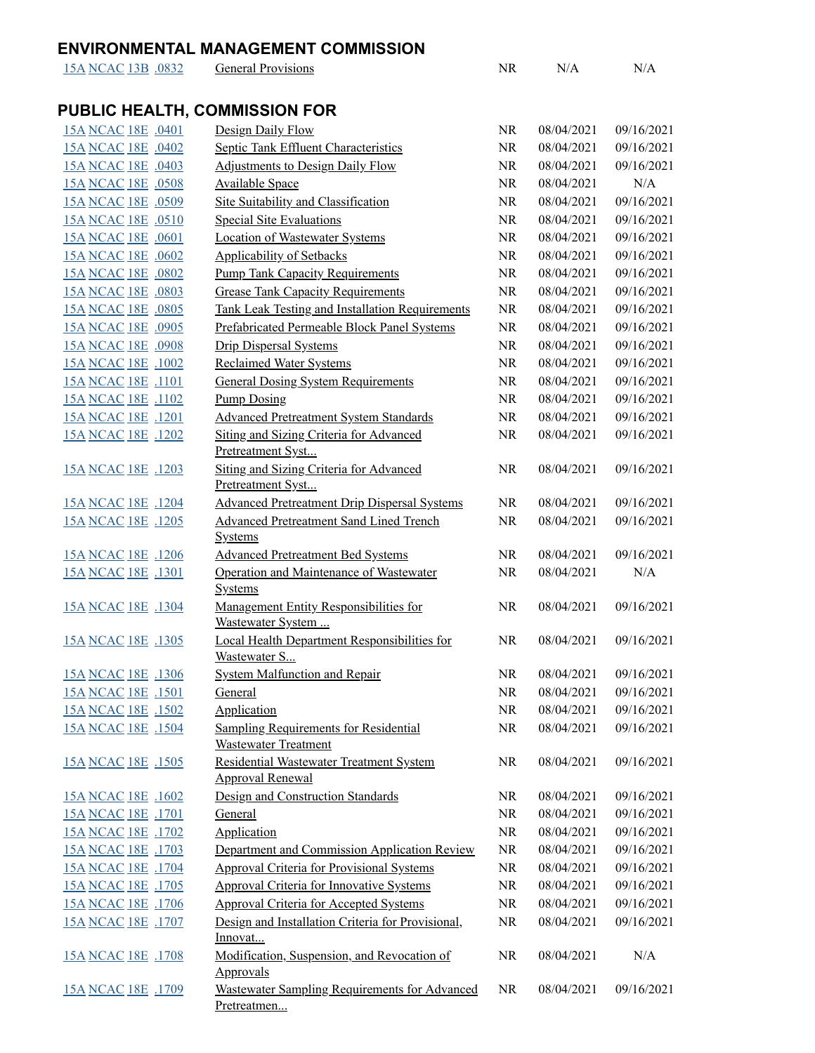## **ENVIRONMENTAL MANAGEMENT COMMISSION**

Pretreatmen...

| 15A NCAC 13B .0832 | <b>General Provisions</b>                                                   | NR        | N/A        | N/A        |
|--------------------|-----------------------------------------------------------------------------|-----------|------------|------------|
|                    | <b>PUBLIC HEALTH, COMMISSION FOR</b>                                        |           |            |            |
| 15A NCAC 18E .0401 | Design Daily Flow                                                           | <b>NR</b> | 08/04/2021 | 09/16/2021 |
| 15A NCAC 18E .0402 | <b>Septic Tank Effluent Characteristics</b>                                 | NR        | 08/04/2021 | 09/16/2021 |
| 15A NCAC 18E .0403 | <b>Adjustments to Design Daily Flow</b>                                     | NR        | 08/04/2021 | 09/16/2021 |
| 15A NCAC 18E .0508 | <b>Available Space</b>                                                      | <b>NR</b> | 08/04/2021 | N/A        |
| 15A NCAC 18E .0509 | Site Suitability and Classification                                         | NR        | 08/04/2021 | 09/16/2021 |
| 15A NCAC 18E .0510 | <b>Special Site Evaluations</b>                                             | <b>NR</b> | 08/04/2021 | 09/16/2021 |
| 15A NCAC 18E .0601 | <b>Location of Wastewater Systems</b>                                       | NR        | 08/04/2021 | 09/16/2021 |
| 15A NCAC 18E .0602 | <b>Applicability of Setbacks</b>                                            | <b>NR</b> | 08/04/2021 | 09/16/2021 |
| 15A NCAC 18E .0802 | <b>Pump Tank Capacity Requirements</b>                                      | NR        | 08/04/2021 | 09/16/2021 |
| 15A NCAC 18E .0803 | <b>Grease Tank Capacity Requirements</b>                                    | NR        | 08/04/2021 | 09/16/2021 |
| 15A NCAC 18E .0805 | <b>Tank Leak Testing and Installation Requirements</b>                      | NR        | 08/04/2021 | 09/16/2021 |
| 15A NCAC 18E .0905 | Prefabricated Permeable Block Panel Systems                                 | NR        | 08/04/2021 | 09/16/2021 |
| 15A NCAC 18E .0908 | <b>Drip Dispersal Systems</b>                                               | NR        | 08/04/2021 | 09/16/2021 |
| 15A NCAC 18E .1002 | <b>Reclaimed Water Systems</b>                                              | NR        | 08/04/2021 | 09/16/2021 |
| 15A NCAC 18E .1101 | <b>General Dosing System Requirements</b>                                   | NR        | 08/04/2021 | 09/16/2021 |
| 15A NCAC 18E .1102 | <b>Pump Dosing</b>                                                          | NR        | 08/04/2021 | 09/16/2021 |
| 15A NCAC 18E .1201 | <b>Advanced Pretreatment System Standards</b>                               | NR        | 08/04/2021 | 09/16/2021 |
| 15A NCAC 18E .1202 | <b>Siting and Sizing Criteria for Advanced</b>                              | NR        | 08/04/2021 | 09/16/2021 |
|                    | Pretreatment Syst                                                           |           |            |            |
| 15A NCAC 18E .1203 | <b>Siting and Sizing Criteria for Advanced</b><br>Pretreatment Syst         | NR        | 08/04/2021 | 09/16/2021 |
| 15A NCAC 18E .1204 | <b>Advanced Pretreatment Drip Dispersal Systems</b>                         | <b>NR</b> | 08/04/2021 | 09/16/2021 |
| 15A NCAC 18E .1205 | <b>Advanced Pretreatment Sand Lined Trench</b>                              | NR        | 08/04/2021 | 09/16/2021 |
|                    | <b>Systems</b>                                                              |           |            |            |
| 15A NCAC 18E .1206 | <b>Advanced Pretreatment Bed Systems</b>                                    | <b>NR</b> | 08/04/2021 | 09/16/2021 |
| 15A NCAC 18E .1301 | Operation and Maintenance of Wastewater                                     | <b>NR</b> | 08/04/2021 | N/A        |
|                    | <b>Systems</b>                                                              |           |            |            |
| 15A NCAC 18E .1304 | Management Entity Responsibilities for                                      | <b>NR</b> | 08/04/2021 | 09/16/2021 |
|                    | Wastewater System                                                           |           |            |            |
| 15A NCAC 18E .1305 | Local Health Department Responsibilities for<br>Wastewater S                | <b>NR</b> | 08/04/2021 | 09/16/2021 |
| 15A NCAC 18E .1306 | <b>System Malfunction and Repair</b>                                        | <b>NR</b> | 08/04/2021 | 09/16/2021 |
| 15A NCAC 18E .1501 | General                                                                     | <b>NR</b> | 08/04/2021 | 09/16/2021 |
| 15A NCAC 18E .1502 | Application                                                                 | <b>NR</b> | 08/04/2021 | 09/16/2021 |
| 15A NCAC 18E .1504 | <b>Sampling Requirements for Residential</b><br><b>Wastewater Treatment</b> | NR        | 08/04/2021 | 09/16/2021 |
| 15A NCAC 18E .1505 | Residential Wastewater Treatment System                                     | NR        | 08/04/2021 | 09/16/2021 |
|                    | <b>Approval Renewal</b>                                                     |           |            |            |
| 15A NCAC 18E .1602 | Design and Construction Standards                                           | NR        | 08/04/2021 | 09/16/2021 |
| 15A NCAC 18E .1701 | General                                                                     | NR        | 08/04/2021 | 09/16/2021 |
| 15A NCAC 18E .1702 | Application                                                                 | NR        | 08/04/2021 | 09/16/2021 |
| 15A NCAC 18E .1703 | Department and Commission Application Review                                | NR        | 08/04/2021 | 09/16/2021 |
| 15A NCAC 18E .1704 | <b>Approval Criteria for Provisional Systems</b>                            | NR        | 08/04/2021 | 09/16/2021 |
| 15A NCAC 18E .1705 | <b>Approval Criteria for Innovative Systems</b>                             | NR        | 08/04/2021 | 09/16/2021 |
| 15A NCAC 18E .1706 | <b>Approval Criteria for Accepted Systems</b>                               | NR        | 08/04/2021 | 09/16/2021 |
| 15A NCAC 18E .1707 | Design and Installation Criteria for Provisional,                           | NR        | 08/04/2021 | 09/16/2021 |
|                    | Innovat                                                                     |           |            |            |
| 15A NCAC 18E .1708 | Modification, Suspension, and Revocation of<br><b>Approvals</b>             | NR        | 08/04/2021 | N/A        |
| 15A NCAC 18E .1709 | Wastewater Sampling Requirements for Advanced                               | <b>NR</b> | 08/04/2021 | 09/16/2021 |